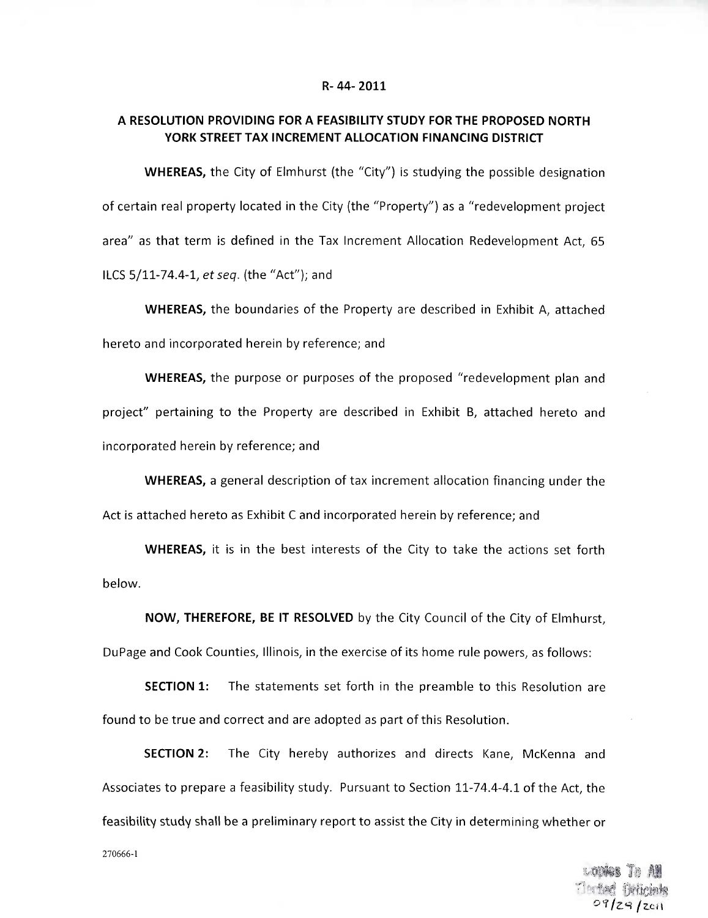#### **R-44-2011**

# **A RESOLUTION PROVIDING FOR A FEASIBILITY STUDY FOR THE PROPOSED NORTH YORK STREET TAX INCREMENT ALLOCATION FINANCING DISTRICT**

**WHEREAS,** the City of Elmhurst (the "City") is studying the possible designation of certain real property located in the City (the "Property") as a "redevelopment project area" as that term is defined in the Tax Increment Allocation Redevelopment Act, 65 ILCS 5/11-74.4-1, et seq. (the "Act"); and

**WHEREAS,** the boundaries of the Property are described in Exhibit A, attached hereto and incorporated herein by reference; and

**WHEREAS,** the purpose or purposes of the proposed "redevelopment plan and project" pertaining to the Property are described in Exhibit B, attached hereto and incorporated herein by reference; and

**WHEREAS,** a general description of tax increment allocation financing under the Act is attached hereto as Exhibit C and incorporated herein by reference; and

**WHEREAS,** it is in the best interests of the City to take the actions set forth below.

**NOW, THEREFORE, BE IT RESOLVED** by the City Council of the City of Elmhurst,

DuPage and Cook Counties, Illinois, in the exercise of its home rule powers, as follows:

**SECTION 1:** The statements set forth in the preamble to this Resolution are found to be true and correct and are adopted as part of this Resolution.

**SECTION 2:** The City hereby authorizes and directs Kane, McKenna and Associates to prepare a feasibility study. Pursuant to Section 11-74.4-4.1 of the Act, the feasibility study shall be a preliminary report to assist the City in determining whether or

270666-1

**Toriad finlink**  $09/29/201$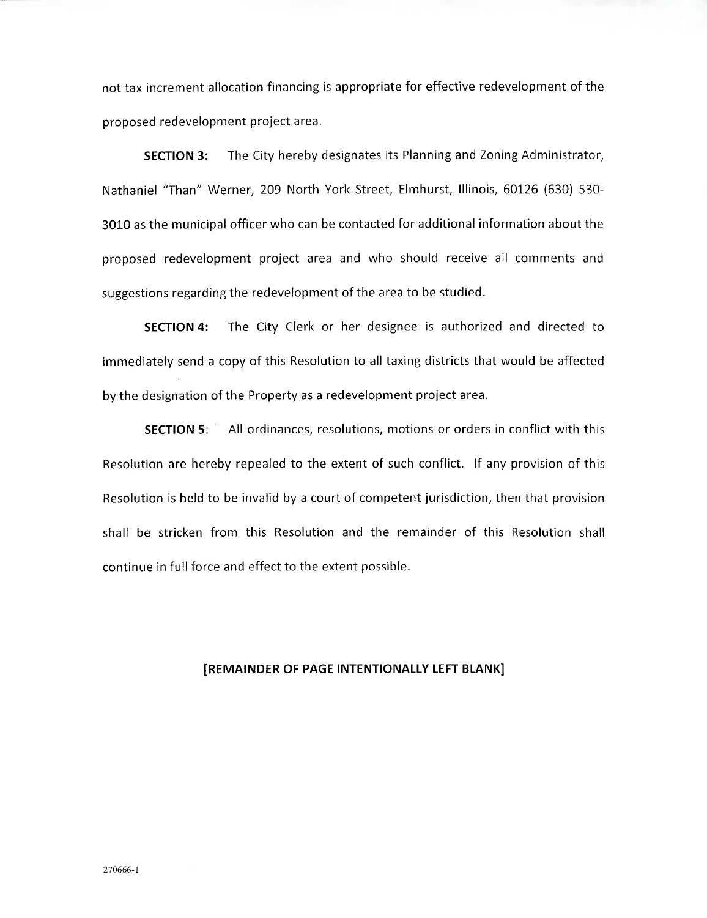not tax increment allocation financing is appropriate for effective redevelopment of the proposed redevelopment project area.

**SECTION 3:** The City hereby designates its Planning and Zoning Administrator, Nathaniel "Than" Werner, 209 North York Street, Elmhurst, Illinois, 60126 (630) 530- 3010 as the municipal officer who can be contacted for additional information about the proposed redevelopment project area and who should receive all comments and suggestions regarding the redevelopment of the area to be studied.

**SECTION 4:** The City Clerk or her designee is authorized and directed to immediately send a copy of this Resolution to all taxing districts that would be affected by the designation of the Property as a redevelopment project area.

**SECTION** 5: All ordinances, resolutions, motions or orders in conflict with this Resolution are hereby repealed to the extent of such conflict. If any provision of this Resolution is held to be invalid by a court of competent jurisdiction, then that provision shall be stricken from this Resolution and the remainder of this Resolution shall continue in full force and effect to the extent possible.

## **[REMAINDER OF PAGE INTENTIONALLY LEFT BLANK]**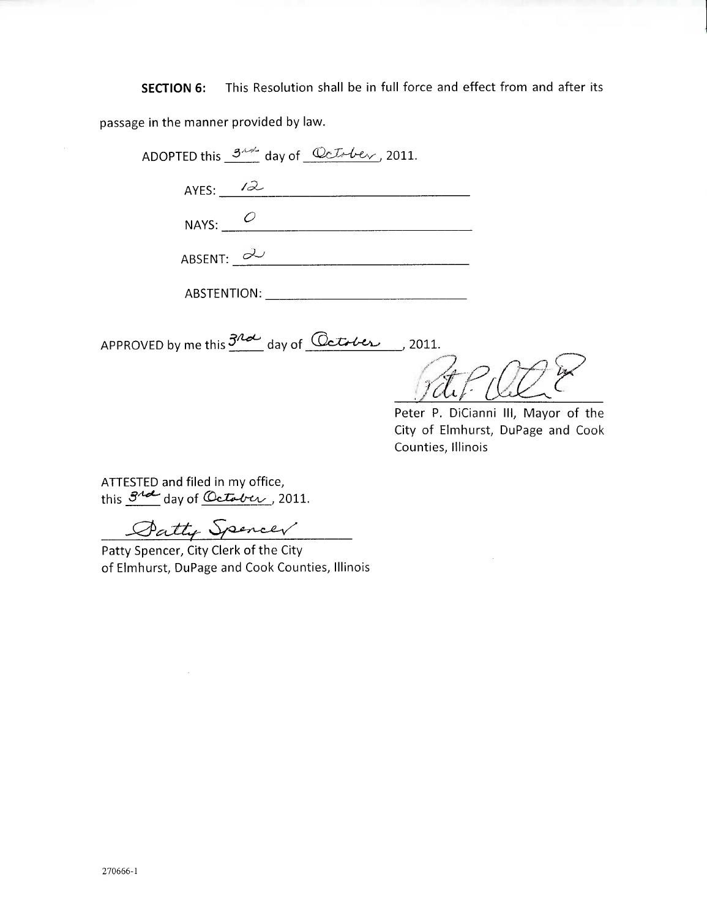**SECTION 6:** This Resolution shall be in full force and effect from and after its

passage in the manner provided by law.

| ADOPTED this $3^{n+1}$ day of $Qct+be$ , 2011. |  |
|------------------------------------------------|--|
| AYES: $12$                                     |  |
| NAYS: $O$                                      |  |
| ABSENT: $\partial$                             |  |
| <b>ABSTENTION:</b>                             |  |

APPROVED by me this  $3^{12}$  day of  $\sqrt{2}$  detablic 1011.

 $\overline{14}$ 

Peter P. DiCianni III, Mayor of the City of Elmhurst, DuPage and Cook Counties, Illinois

ATTESTED and filed in my office, this  $\frac{3^{4}d}{dx^{4}}$  day of *October*, 2011.

Datty Spencer

Patty Spencer, City Clerk of the City of Elmhurst, DuPage and Cook Counties, Illinois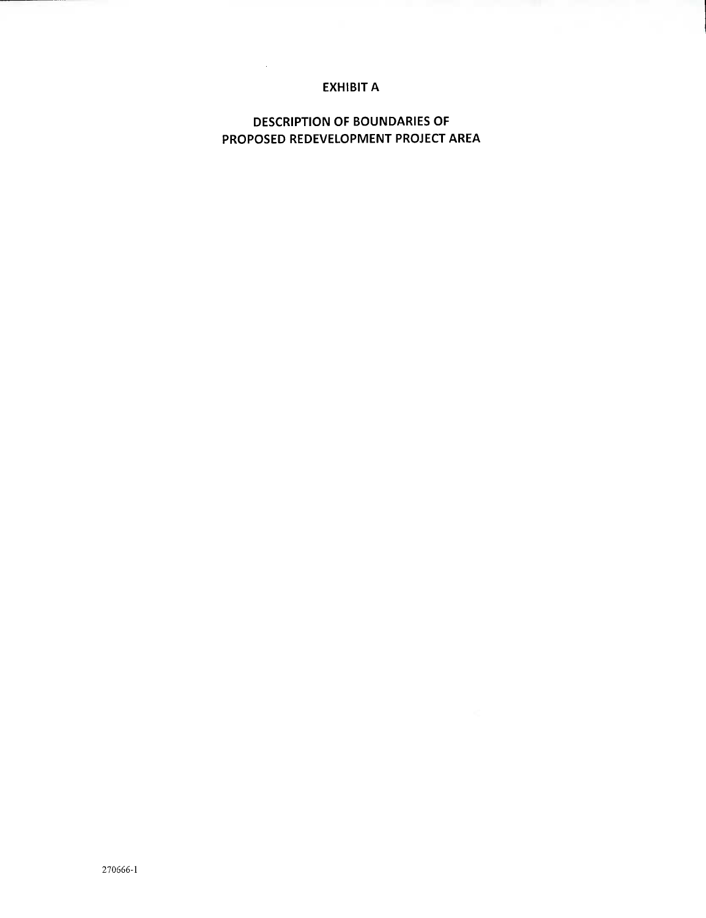# **EXHIBIT A**

 $\sim 10^7$ 

**DESCRIPTION OF BOUNDARIES OF PROPOSED REDEVELOPMENT PROJECT AREA**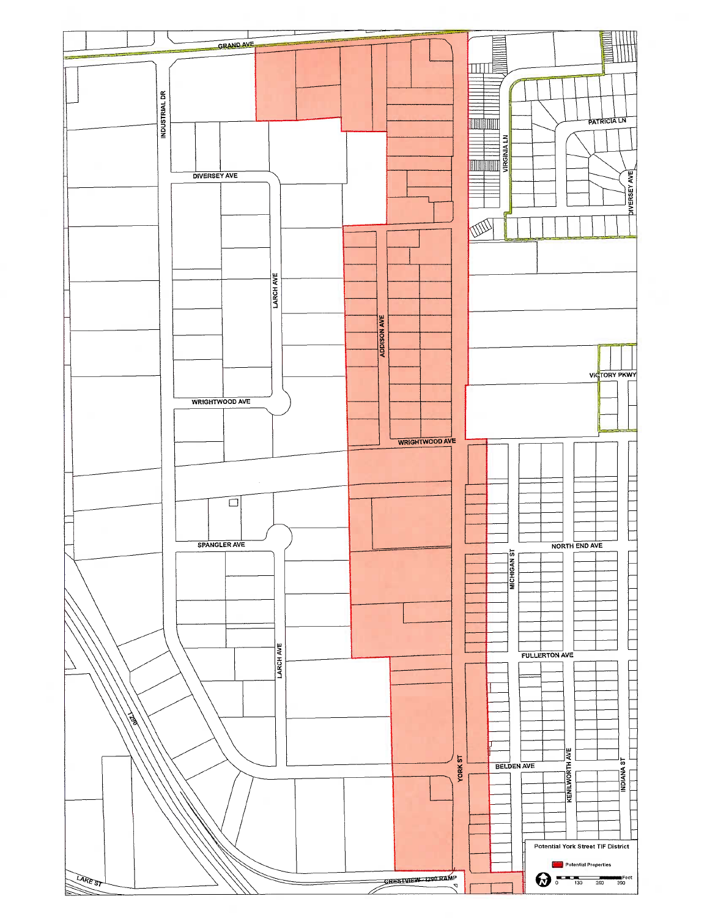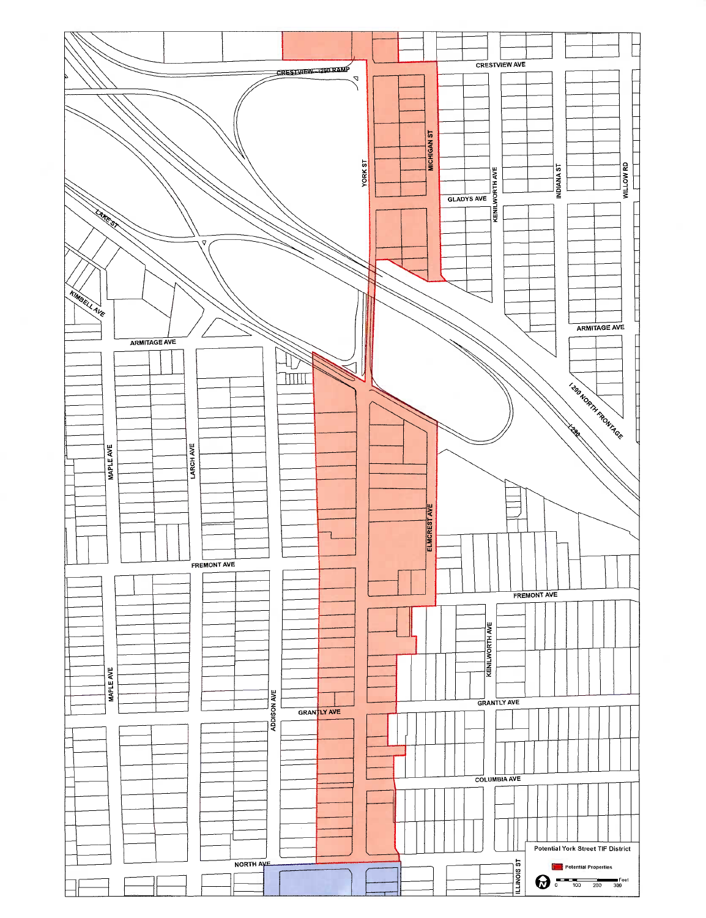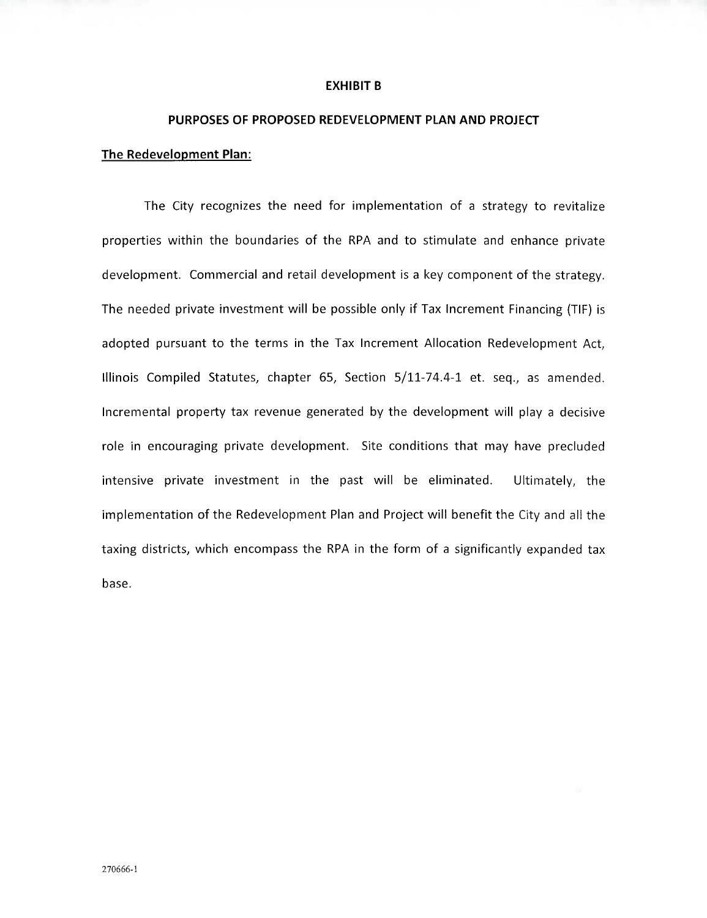### **EXHIBIT B**

# **PURPOSES OF PROPOSED REDEVELOPMENT PLAN AND PROJECT**

## **The Redevelopment Plan:**

The City recognizes the need for implementation of a strategy to revitalize properties within the boundaries of the RPA and to stimulate and enhance private development. Commercial and retail development is a key component of the strategy. The needed private investment will be possible only if Tax Increment Financing (TIP) is adopted pursuant to the terms in the Tax Increment Allocation Redevelopment Act, Illinois Compiled Statutes, chapter 65, Section 5/11-74.4-1 et. seq., as amended. Incremental property tax revenue generated by the development will play a decisive role in encouraging private development. Site conditions that may have precluded intensive private investment in the past will be eliminated. Ultimately, the implementation of the Redevelopment Plan and Project will benefit the City and all the taxing districts, which encompass the RPA in the form of a significantly expanded tax base.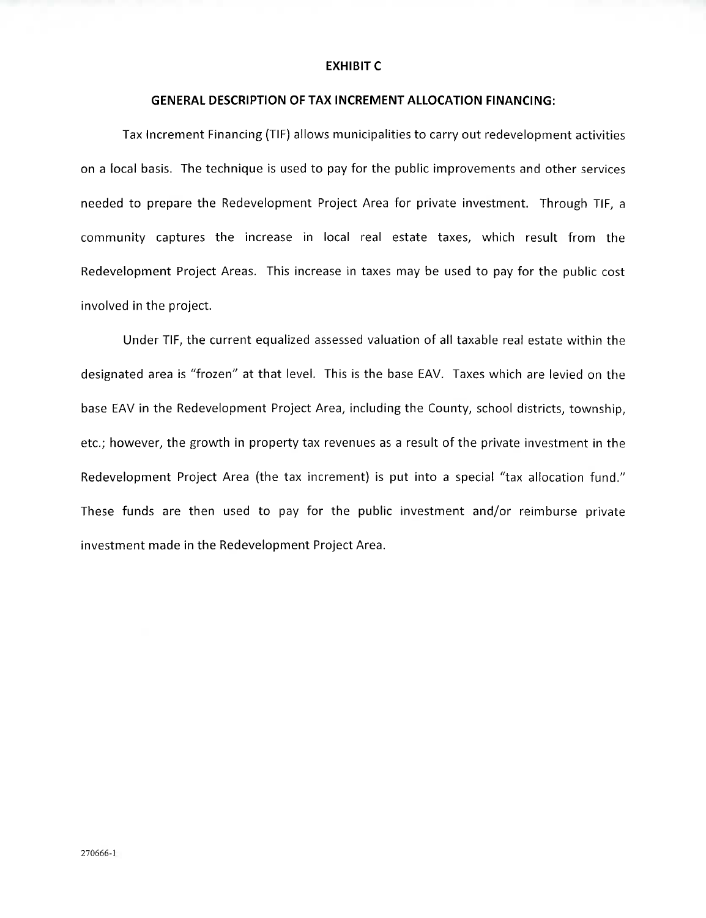### **EXHIBIT C**

## **GENERAL DESCRIPTION OF TAX INCREMENT ALLOCATION FINANCING:**

Tax Increment Financing (TIP) allows municipalities to carry out redevelopment activities on a local basis. The technique is used to pay for the public improvements and other services needed to prepare the Redevelopment Project Area for private investment. Through TIP, a community captures the increase in local real estate taxes, which result from the Redevelopment Project Areas. This increase in taxes may be used to pay for the public cost involved in the project.

Under TIP, the current equalized assessed valuation of all taxable real estate within the designated area is "frozen" at that level. This is the base EAV. Taxes which are levied on the base EAV in the Redevelopment Project Area, including the County, school districts, township, etc.; however, the growth in property tax revenues as a result of the private investment in the Redevelopment Project Area (the tax increment) is put into a special "tax allocation fund." These funds are then used to pay for the public investment and/or reimburse private investment made in the Redevelopment Project Area.